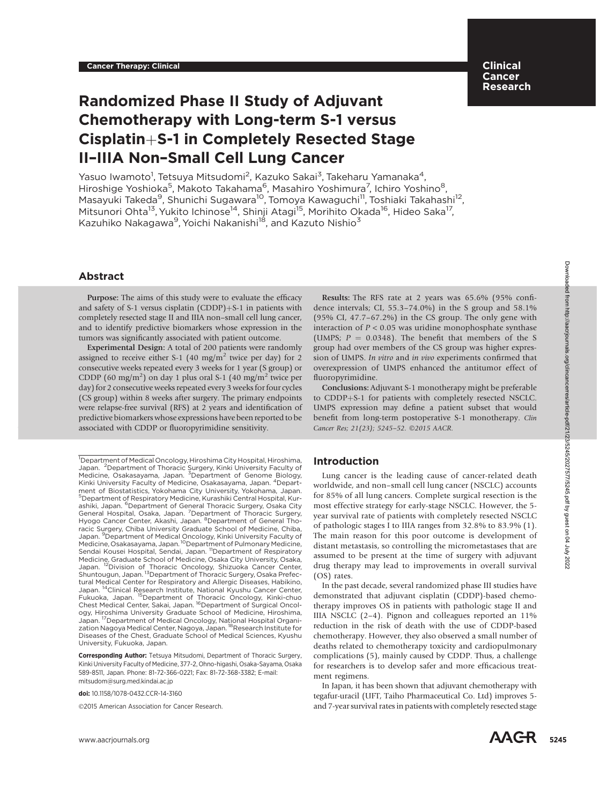## Clinical Cancer Research

# Randomized Phase II Study of Adjuvant Chemotherapy with Long-term S-1 versus  $Cisplatin+S-1$  in Completely Resected Stage II–IIIA Non–Small Cell Lung Cancer

Yasuo Iwamoto<sup>1</sup>, Tetsuya Mitsudomi<sup>2</sup>, Kazuko Sakai<sup>3</sup>, Takeharu Yamanaka<sup>4</sup>, Hiroshige Yoshioka<sup>5</sup>, Makoto Takahama<sup>6</sup>, Masahiro Yoshimura<sup>7</sup>, Ichiro Yoshino<sup>8</sup>, Masayuki Takeda<sup>9</sup>, Shunichi Sugawara<sup>10</sup>, Tomoya Kawaguchi<sup>11</sup>, Toshiaki Takahashi<sup>12</sup>, Mitsunori Ohta<sup>13</sup>, Yukito Ichinose<sup>14</sup>, Shinji Atagi<sup>15</sup>, Morihito Okada<sup>16</sup>, Hideo Saka<sup>17</sup>, Kazuhiko Nakagawa<sup>9</sup>, Yoichi Nakanishi<sup>18</sup>, and Kazuto Nishio<sup>3</sup>

## Abstract

Purpose: The aims of this study were to evaluate the efficacy and safety of S-1 versus cisplatin  $(CDDP)+S-1$  in patients with completely resected stage II and IIIA non–small cell lung cancer, and to identify predictive biomarkers whose expression in the tumors was significantly associated with patient outcome.

Experimental Design: A total of 200 patients were randomly assigned to receive either S-1 (40 mg/m<sup>2</sup> twice per day) for 2 consecutive weeks repeated every 3 weeks for 1 year (S group) or CDDP (60 mg/m<sup>2</sup>) on day 1 plus oral S-1 (40 mg/m<sup>2</sup> twice per day) for 2 consecutive weeks repeated every 3 weeks for four cycles (CS group) within 8 weeks after surgery. The primary endpoints were relapse-free survival (RFS) at 2 years and identification of predictive biomarkers whose expressions have been reported to be associated with CDDP or fluoropyrimidine sensitivity.

Corresponding Author: Tetsuya Mitsudomi, Department of Thoracic Surgery, Kinki University Faculty of Medicine, 377-2, Ohno-higashi, Osaka-Sayama, Osaka 589-8511, Japan. Phone: 81-72-366-0221; Fax: 81-72-368-3382; E-mail: mitsudom@surg.med.kindai.ac.jp

doi: 10.1158/1078-0432.CCR-14-3160

©2015 American Association for Cancer Research.

Results: The RFS rate at 2 years was 65.6% (95% confidence intervals; CI, 55.3–74.0%) in the S group and 58.1% (95% CI, 47.7–67.2%) in the CS group. The only gene with interaction of  $P < 0.05$  was uridine monophosphate synthase (UMPS;  $P = 0.0348$ ). The benefit that members of the S group had over members of the CS group was higher expression of UMPS. In vitro and in vivo experiments confirmed that overexpression of UMPS enhanced the antitumor effect of fluoropyrimidine.

Conclusions: Adjuvant S-1 monotherapy might be preferable to CDDP+S-1 for patients with completely resected NSCLC. UMPS expression may define a patient subset that would benefit from long-term postoperative S-1 monotherapy. Clin Cancer Res; 21(23); 5245-52. ©2015 AACR.

## Introduction

Lung cancer is the leading cause of cancer-related death worldwide, and non–small cell lung cancer (NSCLC) accounts for 85% of all lung cancers. Complete surgical resection is the most effective strategy for early-stage NSCLC. However, the 5 year survival rate of patients with completely resected NSCLC of pathologic stages I to IIIA ranges from 32.8% to 83.9% (1). The main reason for this poor outcome is development of distant metastasis, so controlling the micrometastases that are assumed to be present at the time of surgery with adjuvant drug therapy may lead to improvements in overall survival (OS) rates.

In the past decade, several randomized phase III studies have demonstrated that adjuvant cisplatin (CDDP)-based chemotherapy improves OS in patients with pathologic stage II and IIIA NSCLC (2–4). Pignon and colleagues reported an 11% reduction in the risk of death with the use of CDDP-based chemotherapy. However, they also observed a small number of deaths related to chemotherapy toxicity and cardiopulmonary complications (5), mainly caused by CDDP. Thus, a challenge for researchers is to develop safer and more efficacious treatment regimens.

In Japan, it has been shown that adjuvant chemotherapy with tegafur-uracil (UFT, Taiho Pharmaceutical Co. Ltd) improves 5 and 7-year survival rates in patients with completely resected stage



<sup>1</sup> Department of Medical Oncology, Hiroshima City Hospital, Hiroshima, Japan. <sup>2</sup>Department of Thoracic Surgery, Kinki University Faculty of<br>Medicine, Osakasayama, Japan. <sup>3</sup>Department of Genome Biology,<br>Kinki University Faculty of Medicine, Osakasayama, Japan. <sup>4</sup>Department of Biostatistics, Yokohama City University, Yokohama, Japan. 5 Department of Respiratory Medicine, Kurashiki Central Hospital, Kurashiki, Japan. <sup>6</sup>Department of General Thoracic Surgery, Osaka City General Hospital, Osaka, Japan. <sup>7</sup>Department of Thoracic Surgery,<br>Hyogo Cancer Center, Akashi, Japan. <sup>8</sup>Department of General Thoracic Surgery, Chiba University Graduate School of Medicine, Chiba, Japan. <sup>9</sup>Department of Medical Oncology, Kinki University Faculty of<br>Medicine, Osakasayama, Japan. <sup>10</sup>Department of Pulmonary Medicine, Sendai Kousei Hospital, Sendai, Japan. <sup>11</sup>Department of Respiratory Medicine, Graduate School of Medicine, Osaka City University, Osaka,<br>Japan. <sup>12</sup>Division of Thoracic Oncology, Shizuoka Cancer Center, Shuntougun, Japan. <sup>13</sup>Department of Thoracic Surgery, Osaka Prefectural Medical Center for Respiratory and Allergic Diseases, Habikino,<br>Japan. <sup>14</sup>Clinical Research Institute, National Kyushu Cancer Center, Fukuoka, Japan. 15Department of Thoracic Oncology, Kinki-chuo Chest Medical Center, Sakai, Japan. 16Department of Surgical Oncology, Hiroshima University Graduate School of Medicine, Hiroshima,<br>Japan. <sup>17</sup>Department of Medical Oncology, National Hospital Organization Nagoya Medical Center, Nagoya, Japan. 18Research Institute for Diseases of the Chest, Graduate School of Medical Sciences, Kyushu University, Fukuoka, Japan. **Abstract**<br> **Abstract**<br> **Notice the anset of the study seve to evaluate the diffuse state attention of the air state at the system and 58,1%<br>
correlation system and collider and correlation of the diffuse material of the**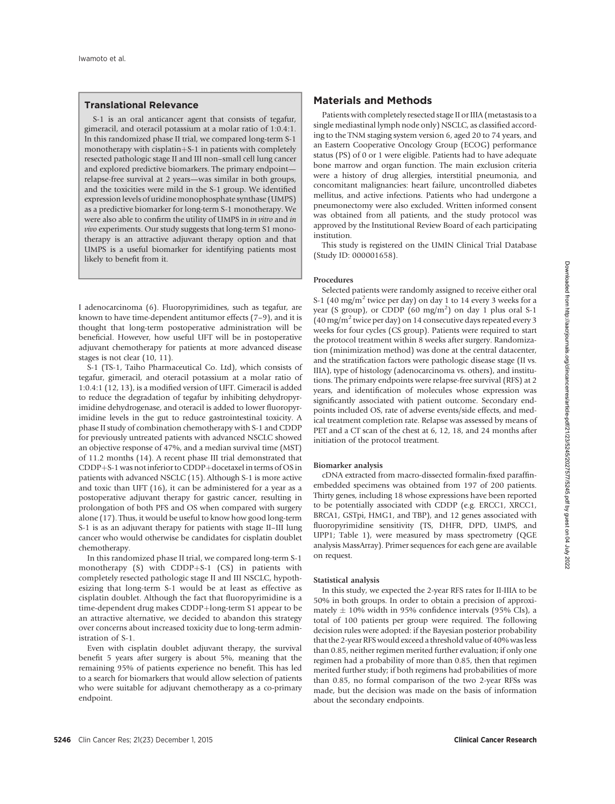## Translational Relevance

S-1 is an oral anticancer agent that consists of tegafur, gimeracil, and oteracil potassium at a molar ratio of 1:0.4:1. In this randomized phase II trial, we compared long-term S-1 monotherapy with cisplatin $+S-1$  in patients with completely resected pathologic stage II and III non–small cell lung cancer and explored predictive biomarkers. The primary endpoint relapse-free survival at 2 years—was similar in both groups, and the toxicities were mild in the S-1 group. We identified expression levels of uridine monophosphate synthase (UMPS) as a predictive biomarker for long-term S-1 monotherapy. We were also able to confirm the utility of UMPS in in vitro and in vivo experiments. Our study suggests that long-term S1 monotherapy is an attractive adjuvant therapy option and that UMPS is a useful biomarker for identifying patients most likely to benefit from it.

I adenocarcinoma (6). Fluoropyrimidines, such as tegafur, are known to have time-dependent antitumor effects (7–9), and it is thought that long-term postoperative administration will be beneficial. However, how useful UFT will be in postoperative adjuvant chemotherapy for patients at more advanced disease stages is not clear (10, 11).

S-1 (TS-1, Taiho Pharmaceutical Co. Ltd), which consists of tegafur, gimeracil, and oteracil potassium at a molar ratio of 1:0.4:1 (12, 13), is a modified version of UFT. Gimeracil is added to reduce the degradation of tegafur by inhibiting dehydropyrimidine dehydrogenase, and oteracil is added to lower fluoropyrimidine levels in the gut to reduce gastrointestinal toxicity. A phase II study of combination chemotherapy with S-1 and CDDP for previously untreated patients with advanced NSCLC showed an objective response of 47%, and a median survival time (MST) of 11.2 months (14). A recent phase III trial demonstrated that  $CDDP+S-1$  was not inferior to  $CDDP+docetaxel$  in terms of OS in patients with advanced NSCLC (15). Although S-1 is more active and toxic than UFT (16), it can be administered for a year as a postoperative adjuvant therapy for gastric cancer, resulting in prolongation of both PFS and OS when compared with surgery alone (17). Thus, it would be useful to know how good long-term S-1 is as an adjuvant therapy for patients with stage II–III lung cancer who would otherwise be candidates for cisplatin doublet chemotherapy.

In this randomized phase II trial, we compared long-term S-1 monotherapy  $(S)$  with CDDP+S-1  $(CS)$  in patients with completely resected pathologic stage II and III NSCLC, hypothesizing that long-term S-1 would be at least as effective as cisplatin doublet. Although the fact that fluoropyrimidine is a time-dependent drug makes CDDP+long-term S1 appear to be an attractive alternative, we decided to abandon this strategy over concerns about increased toxicity due to long-term administration of S-1.

Even with cisplatin doublet adjuvant therapy, the survival benefit 5 years after surgery is about 5%, meaning that the remaining 95% of patients experience no benefit. This has led to a search for biomarkers that would allow selection of patients who were suitable for adjuvant chemotherapy as a co-primary endpoint.

## Materials and Methods

Patients with completely resected stage II or IIIA (metastasis to a single mediastinal lymph node only) NSCLC, as classified according to the TNM staging system version 6, aged 20 to 74 years, and an Eastern Cooperative Oncology Group (ECOG) performance status (PS) of 0 or 1 were eligible. Patients had to have adequate bone marrow and organ function. The main exclusion criteria were a history of drug allergies, interstitial pneumonia, and concomitant malignancies: heart failure, uncontrolled diabetes mellitus, and active infections. Patients who had undergone a pneumonectomy were also excluded. Written informed consent was obtained from all patients, and the study protocol was approved by the Institutional Review Board of each participating institution.

This study is registered on the UMIN Clinical Trial Database (Study ID: 000001658).

#### Procedures

Selected patients were randomly assigned to receive either oral S-1 (40 mg/m<sup>2</sup> twice per day) on day 1 to 14 every 3 weeks for a year (S group), or CDDP  $(60 \text{ mg/m}^2)$  on day 1 plus oral S-1  $(40 \,\mathrm{mg/m^2})$  twice per day) on 14 consecutive days repeated every 3 weeks for four cycles (CS group). Patients were required to start the protocol treatment within 8 weeks after surgery. Randomization (minimization method) was done at the central datacenter, and the stratification factors were pathologic disease stage (II vs. IIIA), type of histology (adenocarcinoma vs. others), and institutions. The primary endpoints were relapse-free survival (RFS) at 2 years, and identification of molecules whose expression was significantly associated with patient outcome. Secondary endpoints included OS, rate of adverse events/side effects, and medical treatment completion rate. Relapse was assessed by means of PET and a CT scan of the chest at 6, 12, 18, and 24 months after initiation of the protocol treatment.

#### Biomarker analysis

cDNA extracted from macro-dissected formalin-fixed paraffinembedded specimens was obtained from 197 of 200 patients. Thirty genes, including 18 whose expressions have been reported to be potentially associated with CDDP (e.g. ERCC1, XRCC1, BRCA1, GSTpi, HMG1, and TBP), and 12 genes associated with fluoropyrimidine sensitivity (TS, DHFR, DPD, UMPS, and UPP1; Table 1), were measured by mass spectrometry (QGE analysis MassArray). Primer sequences for each gene are available on request.

#### Statistical analysis

In this study, we expected the 2-year RFS rates for II-IIIA to be 50% in both groups. In order to obtain a precision of approximately  $\pm$  10% width in 95% confidence intervals (95% CIs), a total of 100 patients per group were required. The following decision rules were adopted: if the Bayesian posterior probability that the 2-year RFS would exceed a threshold value of 40% was less than 0.85, neither regimen merited further evaluation; if only one regimen had a probability of more than 0.85, then that regimen merited further study; if both regimens had probabilities of more than 0.85, no formal comparison of the two 2-year RFSs was made, but the decision was made on the basis of information about the secondary endpoints.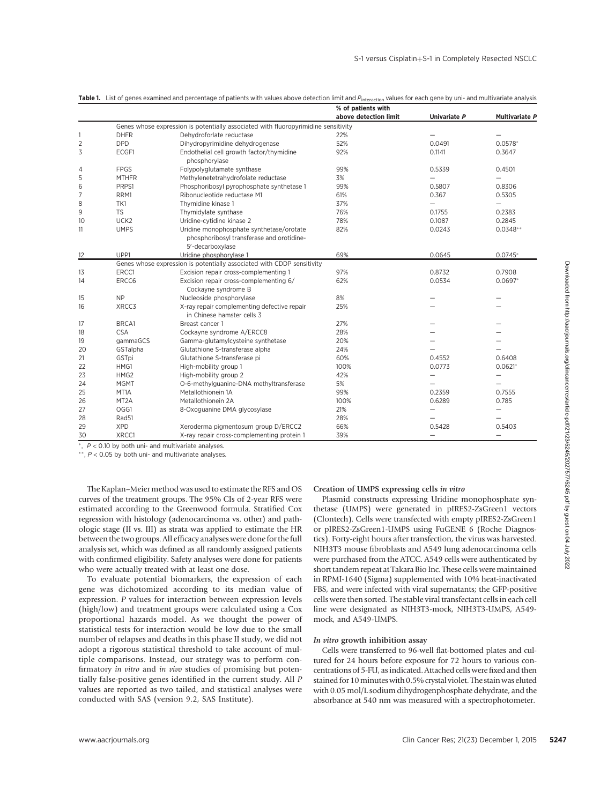|          |                      |                                                                                                                                                                                                                                                                                                                                                                                                                                                                                                                                                                                                                                                                                                                                                                                                                                                                                                                                | % of patients with                                                                                                                                                                                                                                                                                                                                                                                                                                                                                                                                                                                                                                                                                                                                                                                                                                                              |                          |                                          |
|----------|----------------------|--------------------------------------------------------------------------------------------------------------------------------------------------------------------------------------------------------------------------------------------------------------------------------------------------------------------------------------------------------------------------------------------------------------------------------------------------------------------------------------------------------------------------------------------------------------------------------------------------------------------------------------------------------------------------------------------------------------------------------------------------------------------------------------------------------------------------------------------------------------------------------------------------------------------------------|---------------------------------------------------------------------------------------------------------------------------------------------------------------------------------------------------------------------------------------------------------------------------------------------------------------------------------------------------------------------------------------------------------------------------------------------------------------------------------------------------------------------------------------------------------------------------------------------------------------------------------------------------------------------------------------------------------------------------------------------------------------------------------------------------------------------------------------------------------------------------------|--------------------------|------------------------------------------|
|          |                      |                                                                                                                                                                                                                                                                                                                                                                                                                                                                                                                                                                                                                                                                                                                                                                                                                                                                                                                                | above detection limit                                                                                                                                                                                                                                                                                                                                                                                                                                                                                                                                                                                                                                                                                                                                                                                                                                                           | Univariate P             | <b>Multivariate P</b>                    |
|          |                      | Genes whose expression is potentially associated with fluoropyrimidine sensitivity                                                                                                                                                                                                                                                                                                                                                                                                                                                                                                                                                                                                                                                                                                                                                                                                                                             |                                                                                                                                                                                                                                                                                                                                                                                                                                                                                                                                                                                                                                                                                                                                                                                                                                                                                 |                          |                                          |
|          | <b>DHFR</b><br>DPD   | Dehydroforlate reductase<br>Dihydropyrimidine dehydrogenase                                                                                                                                                                                                                                                                                                                                                                                                                                                                                                                                                                                                                                                                                                                                                                                                                                                                    | 22%<br>52%                                                                                                                                                                                                                                                                                                                                                                                                                                                                                                                                                                                                                                                                                                                                                                                                                                                                      | 0.0491                   | $0.0578*$                                |
|          | ECGF1                | Endothelial cell growth factor/thymidine                                                                                                                                                                                                                                                                                                                                                                                                                                                                                                                                                                                                                                                                                                                                                                                                                                                                                       | 92%                                                                                                                                                                                                                                                                                                                                                                                                                                                                                                                                                                                                                                                                                                                                                                                                                                                                             | 0.1141                   | 0.3647                                   |
|          |                      | phosphorylase                                                                                                                                                                                                                                                                                                                                                                                                                                                                                                                                                                                                                                                                                                                                                                                                                                                                                                                  |                                                                                                                                                                                                                                                                                                                                                                                                                                                                                                                                                                                                                                                                                                                                                                                                                                                                                 |                          |                                          |
|          | <b>FPGS</b>          | Folypolyglutamate synthase                                                                                                                                                                                                                                                                                                                                                                                                                                                                                                                                                                                                                                                                                                                                                                                                                                                                                                     | 99%                                                                                                                                                                                                                                                                                                                                                                                                                                                                                                                                                                                                                                                                                                                                                                                                                                                                             | 0.5339                   | 0.4501                                   |
|          | <b>MTHFR</b>         | Methylenetetrahydrofolate reductase                                                                                                                                                                                                                                                                                                                                                                                                                                                                                                                                                                                                                                                                                                                                                                                                                                                                                            | 3%                                                                                                                                                                                                                                                                                                                                                                                                                                                                                                                                                                                                                                                                                                                                                                                                                                                                              |                          |                                          |
|          | PRPS1                | Phosphoribosyl pyrophosphate synthetase 1                                                                                                                                                                                                                                                                                                                                                                                                                                                                                                                                                                                                                                                                                                                                                                                                                                                                                      | 99%                                                                                                                                                                                                                                                                                                                                                                                                                                                                                                                                                                                                                                                                                                                                                                                                                                                                             | 0.5807                   | 0.8306                                   |
|          | RRM1                 | Ribonucleotide reductase M1                                                                                                                                                                                                                                                                                                                                                                                                                                                                                                                                                                                                                                                                                                                                                                                                                                                                                                    | 61%                                                                                                                                                                                                                                                                                                                                                                                                                                                                                                                                                                                                                                                                                                                                                                                                                                                                             | 0.367                    | 0.5305                                   |
|          | TK1                  | Thymidine kinase 1                                                                                                                                                                                                                                                                                                                                                                                                                                                                                                                                                                                                                                                                                                                                                                                                                                                                                                             | 37%                                                                                                                                                                                                                                                                                                                                                                                                                                                                                                                                                                                                                                                                                                                                                                                                                                                                             | $\overline{\phantom{0}}$ | $\qquad \qquad -$                        |
|          | TS                   | Thymidylate synthase                                                                                                                                                                                                                                                                                                                                                                                                                                                                                                                                                                                                                                                                                                                                                                                                                                                                                                           | 76%                                                                                                                                                                                                                                                                                                                                                                                                                                                                                                                                                                                                                                                                                                                                                                                                                                                                             | 0.1755                   | 0.2383                                   |
|          | UCK <sub>2</sub>     | Uridine-cytidine kinase 2                                                                                                                                                                                                                                                                                                                                                                                                                                                                                                                                                                                                                                                                                                                                                                                                                                                                                                      | 78%                                                                                                                                                                                                                                                                                                                                                                                                                                                                                                                                                                                                                                                                                                                                                                                                                                                                             | 0.1087                   | 0.2845                                   |
|          | <b>UMPS</b>          | Uridine monophosphate synthetase/orotate<br>phosphoribosyl transferase and orotidine-<br>5'-decarboxylase                                                                                                                                                                                                                                                                                                                                                                                                                                                                                                                                                                                                                                                                                                                                                                                                                      | 82%                                                                                                                                                                                                                                                                                                                                                                                                                                                                                                                                                                                                                                                                                                                                                                                                                                                                             | 0.0243                   | $0.0348**$                               |
|          | UPP1                 | Uridine phosphorylase 1                                                                                                                                                                                                                                                                                                                                                                                                                                                                                                                                                                                                                                                                                                                                                                                                                                                                                                        | 69%                                                                                                                                                                                                                                                                                                                                                                                                                                                                                                                                                                                                                                                                                                                                                                                                                                                                             | 0.0645                   | $0.0745*$                                |
|          |                      | Genes whose expression is potentially associated with CDDP sensitivity                                                                                                                                                                                                                                                                                                                                                                                                                                                                                                                                                                                                                                                                                                                                                                                                                                                         |                                                                                                                                                                                                                                                                                                                                                                                                                                                                                                                                                                                                                                                                                                                                                                                                                                                                                 |                          |                                          |
|          | ERCC1                | Excision repair cross-complementing 1                                                                                                                                                                                                                                                                                                                                                                                                                                                                                                                                                                                                                                                                                                                                                                                                                                                                                          | 97%                                                                                                                                                                                                                                                                                                                                                                                                                                                                                                                                                                                                                                                                                                                                                                                                                                                                             | 0.8732                   | 0.7908                                   |
|          | ERCC6                | Excision repair cross-complementing 6/                                                                                                                                                                                                                                                                                                                                                                                                                                                                                                                                                                                                                                                                                                                                                                                                                                                                                         | 62%                                                                                                                                                                                                                                                                                                                                                                                                                                                                                                                                                                                                                                                                                                                                                                                                                                                                             | 0.0534                   | $0.0697*$                                |
|          |                      | Cockayne syndrome B                                                                                                                                                                                                                                                                                                                                                                                                                                                                                                                                                                                                                                                                                                                                                                                                                                                                                                            |                                                                                                                                                                                                                                                                                                                                                                                                                                                                                                                                                                                                                                                                                                                                                                                                                                                                                 |                          |                                          |
|          | <b>NP</b>            | Nucleoside phosphorylase                                                                                                                                                                                                                                                                                                                                                                                                                                                                                                                                                                                                                                                                                                                                                                                                                                                                                                       | 8%                                                                                                                                                                                                                                                                                                                                                                                                                                                                                                                                                                                                                                                                                                                                                                                                                                                                              |                          |                                          |
|          | XRCC3                | X-ray repair complementing defective repair                                                                                                                                                                                                                                                                                                                                                                                                                                                                                                                                                                                                                                                                                                                                                                                                                                                                                    | 25%                                                                                                                                                                                                                                                                                                                                                                                                                                                                                                                                                                                                                                                                                                                                                                                                                                                                             |                          |                                          |
|          |                      | in Chinese hamster cells 3                                                                                                                                                                                                                                                                                                                                                                                                                                                                                                                                                                                                                                                                                                                                                                                                                                                                                                     |                                                                                                                                                                                                                                                                                                                                                                                                                                                                                                                                                                                                                                                                                                                                                                                                                                                                                 |                          |                                          |
|          | BRCA1                | Breast cancer 1                                                                                                                                                                                                                                                                                                                                                                                                                                                                                                                                                                                                                                                                                                                                                                                                                                                                                                                | 27%                                                                                                                                                                                                                                                                                                                                                                                                                                                                                                                                                                                                                                                                                                                                                                                                                                                                             |                          |                                          |
|          | <b>CSA</b>           | Cockayne syndrome A/ERCC8                                                                                                                                                                                                                                                                                                                                                                                                                                                                                                                                                                                                                                                                                                                                                                                                                                                                                                      | 28%                                                                                                                                                                                                                                                                                                                                                                                                                                                                                                                                                                                                                                                                                                                                                                                                                                                                             |                          |                                          |
|          | gammaGCS             | Gamma-glutamylcysteine synthetase                                                                                                                                                                                                                                                                                                                                                                                                                                                                                                                                                                                                                                                                                                                                                                                                                                                                                              | 20%                                                                                                                                                                                                                                                                                                                                                                                                                                                                                                                                                                                                                                                                                                                                                                                                                                                                             |                          |                                          |
|          | GSTalpha             | Glutathione S-transferase alpha                                                                                                                                                                                                                                                                                                                                                                                                                                                                                                                                                                                                                                                                                                                                                                                                                                                                                                | 24%                                                                                                                                                                                                                                                                                                                                                                                                                                                                                                                                                                                                                                                                                                                                                                                                                                                                             |                          |                                          |
|          | GSTpi                | Glutathione S-transferase pi                                                                                                                                                                                                                                                                                                                                                                                                                                                                                                                                                                                                                                                                                                                                                                                                                                                                                                   | 60%                                                                                                                                                                                                                                                                                                                                                                                                                                                                                                                                                                                                                                                                                                                                                                                                                                                                             | 0.4552                   | 0.6408                                   |
|          | HMG1                 | High-mobility group 1                                                                                                                                                                                                                                                                                                                                                                                                                                                                                                                                                                                                                                                                                                                                                                                                                                                                                                          | 100%                                                                                                                                                                                                                                                                                                                                                                                                                                                                                                                                                                                                                                                                                                                                                                                                                                                                            | 0.0773                   | $0.0621*$                                |
|          | HMG2                 | High-mobility group 2                                                                                                                                                                                                                                                                                                                                                                                                                                                                                                                                                                                                                                                                                                                                                                                                                                                                                                          | 42%                                                                                                                                                                                                                                                                                                                                                                                                                                                                                                                                                                                                                                                                                                                                                                                                                                                                             |                          |                                          |
| 24       | <b>MGMT</b>          | O-6-methylguanine-DNA methyltransferase                                                                                                                                                                                                                                                                                                                                                                                                                                                                                                                                                                                                                                                                                                                                                                                                                                                                                        | 5%                                                                                                                                                                                                                                                                                                                                                                                                                                                                                                                                                                                                                                                                                                                                                                                                                                                                              |                          |                                          |
|          | MT1A                 | Metallothionein 1A                                                                                                                                                                                                                                                                                                                                                                                                                                                                                                                                                                                                                                                                                                                                                                                                                                                                                                             | 99%                                                                                                                                                                                                                                                                                                                                                                                                                                                                                                                                                                                                                                                                                                                                                                                                                                                                             | 0.2359                   | 0.7555                                   |
|          | MT <sub>2</sub> A    | Metallothionein 2A                                                                                                                                                                                                                                                                                                                                                                                                                                                                                                                                                                                                                                                                                                                                                                                                                                                                                                             | 100%                                                                                                                                                                                                                                                                                                                                                                                                                                                                                                                                                                                                                                                                                                                                                                                                                                                                            | 0.6289                   | 0.785                                    |
|          | OGG1                 | 8-Oxoguanine DMA glycosylase                                                                                                                                                                                                                                                                                                                                                                                                                                                                                                                                                                                                                                                                                                                                                                                                                                                                                                   | 21%                                                                                                                                                                                                                                                                                                                                                                                                                                                                                                                                                                                                                                                                                                                                                                                                                                                                             | $\overline{\phantom{0}}$ | $\overline{\phantom{0}}$                 |
|          | Rad51                |                                                                                                                                                                                                                                                                                                                                                                                                                                                                                                                                                                                                                                                                                                                                                                                                                                                                                                                                | 28%                                                                                                                                                                                                                                                                                                                                                                                                                                                                                                                                                                                                                                                                                                                                                                                                                                                                             |                          | —                                        |
| 29<br>30 | <b>XPD</b>           | Xeroderma pigmentosum group D/ERCC2                                                                                                                                                                                                                                                                                                                                                                                                                                                                                                                                                                                                                                                                                                                                                                                                                                                                                            | 66%                                                                                                                                                                                                                                                                                                                                                                                                                                                                                                                                                                                                                                                                                                                                                                                                                                                                             | 0.5428                   | 0.5403                                   |
|          | XRCC1                | X-ray repair cross-complementing protein 1<br>*, $P < 0.10$ by both uni- and multivariate analyses.                                                                                                                                                                                                                                                                                                                                                                                                                                                                                                                                                                                                                                                                                                                                                                                                                            | 39%                                                                                                                                                                                                                                                                                                                                                                                                                                                                                                                                                                                                                                                                                                                                                                                                                                                                             |                          |                                          |
|          |                      | The Kaplan–Meier method was used to estimate the RFS and OS<br>curves of the treatment groups. The 95% CIs of 2-year RFS were<br>estimated according to the Greenwood formula. Stratified Cox<br>regression with histology (adenocarcinoma vs. other) and path-<br>ologic stage (II vs. III) as strata was applied to estimate the HR<br>between the two groups. All efficacy analyses were done for the full<br>analysis set, which was defined as all randomly assigned patients<br>with confirmed eligibility. Safety analyses were done for patients<br>who were actually treated with at least one dose.<br>To evaluate potential biomarkers, the expression of each<br>gene was dichotomized according to its median value of<br>expression. P values for interaction between expression levels<br>(high/low) and treatment groups were calculated using a Cox<br>proportional hazards model. As we thought the power of | Creation of UMPS expressing cells in vitro<br>Plasmid constructs expressing Uridine monophosphate syn-<br>thetase (UMPS) were generated in pIRES2-ZsGreen1 vectors<br>(Clontech). Cells were transfected with empty pIRES2-ZsGreen1<br>or pIRES2-ZsGreen1-UMPS using FuGENE 6 (Roche Diagnos-<br>tics). Forty-eight hours after transfection, the virus was harvested.<br>NIH3T3 mouse fibroblasts and A549 lung adenocarcinoma cells<br>were purchased from the ATCC. A549 cells were authenticated by<br>short tandem repeat at Takara Bio Inc. These cells were maintained<br>in RPMI-1640 (Sigma) supplemented with 10% heat-inactivated<br>FBS, and were infected with viral supernatants; the GFP-positive<br>cells were then sorted. The stable viral transfectant cells in each cell<br>line were designated as NIH3T3-mock, NIH3T3-UMPS, A549-<br>mock, and A549-UMPS. |                          |                                          |
|          |                      | statistical tests for interaction would be low due to the small<br>number of relapses and deaths in this phase II study, we did not<br>adopt a rigorous statistical threshold to take account of mul-<br>tiple comparisons. Instead, our strategy was to perform con-<br>firmatory in vitro and in vivo studies of promising but poten-<br>tially false-positive genes identified in the current study. All P<br>values are reported as two tailed, and statistical analyses were<br>conducted with SAS (version 9.2, SAS Institute).                                                                                                                                                                                                                                                                                                                                                                                          | In vitro growth inhibition assay<br>Cells were transferred to 96-well flat-bottomed plates and cul-<br>tured for 24 hours before exposure for 72 hours to various con-<br>centrations of 5-FU, as indicated. Attached cells were fixed and then<br>stained for 10 minutes with 0.5% crystal violet. The stain was eluted<br>with 0.05 mol/L sodium dihydrogenphosphate dehydrate, and the<br>absorbance at 540 nm was measured with a spectrophotometer.                                                                                                                                                                                                                                                                                                                                                                                                                        |                          |                                          |
|          | www.aacrjournals.org |                                                                                                                                                                                                                                                                                                                                                                                                                                                                                                                                                                                                                                                                                                                                                                                                                                                                                                                                |                                                                                                                                                                                                                                                                                                                                                                                                                                                                                                                                                                                                                                                                                                                                                                                                                                                                                 |                          | Clin Cancer Res; 21(23) December 1, 2015 |

Table 1. List of genes examined and percentage of patients with values above detection limit and Pinteraction values for each gene by uni- and multivariate analysis

#### Creation of UMPS expressing cells in vitro

#### In vitro growth inhibition assay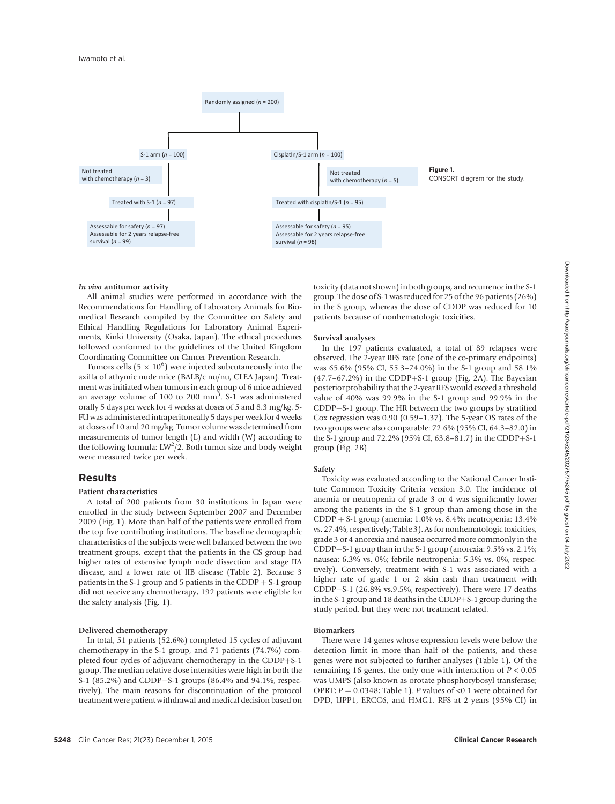

#### In vivo antitumor activity

All animal studies were performed in accordance with the Recommendations for Handling of Laboratory Animals for Biomedical Research compiled by the Committee on Safety and Ethical Handling Regulations for Laboratory Animal Experiments, Kinki University (Osaka, Japan). The ethical procedures followed conformed to the guidelines of the United Kingdom Coordinating Committee on Cancer Prevention Research.

Tumors cells ( $5 \times 10^6$ ) were injected subcutaneously into the axilla of athymic nude mice (BALB/c nu/nu, CLEA Japan). Treatment was initiated when tumors in each group of 6 mice achieved an average volume of 100 to 200 mm<sup>3</sup>. S-1 was administered orally 5 days per week for 4 weeks at doses of 5 and 8.3 mg/kg. 5- FU was administered intraperitoneally 5 days per week for 4 weeks at doses of 10 and 20 mg/kg. Tumor volume was determined from measurements of tumor length (L) and width (W) according to the following formula:  $LW^2/2$ . Both tumor size and body weight were measured twice per week.

## Results

#### Patient characteristics

A total of 200 patients from 30 institutions in Japan were enrolled in the study between September 2007 and December 2009 (Fig. 1). More than half of the patients were enrolled from the top five contributing institutions. The baseline demographic characteristics of the subjects were well balanced between the two treatment groups, except that the patients in the CS group had higher rates of extensive lymph node dissection and stage IIA disease, and a lower rate of IIB disease (Table 2). Because 3 patients in the S-1 group and 5 patients in the CDDP  $+$  S-1 group did not receive any chemotherapy, 192 patients were eligible for the safety analysis (Fig. 1).

#### Delivered chemotherapy

In total, 51 patients (52.6%) completed 15 cycles of adjuvant chemotherapy in the S-1 group, and 71 patients (74.7%) completed four cycles of adjuvant chemotherapy in the CDDP+S-1 group. The median relative dose intensities were high in both the S-1 (85.2%) and CDDP+S-1 groups (86.4% and 94.1%, respectively). The main reasons for discontinuation of the protocol treatment were patient withdrawal and medical decision based on toxicity (data not shown) in both groups, and recurrence in the S-1 group. The dose of S-1 was reduced for 25 of the 96 patients (26%) in the S group, whereas the dose of CDDP was reduced for 10 patients because of nonhematologic toxicities.

#### Survival analyses

In the 197 patients evaluated, a total of 89 relapses were observed. The 2-year RFS rate (one of the co-primary endpoints) was 65.6% (95% CI, 55.3–74.0%) in the S-1 group and 58.1%  $(47.7-67.2%)$  in the CDDP+S-1 group (Fig. 2A). The Bayesian posterior probability that the 2-year RFS would exceed a threshold value of 40% was 99.9% in the S-1 group and 99.9% in the  $CDDP+S-1$  group. The HR between the two groups by stratified Cox regression was 0.90 (0.59–1.37). The 5-year OS rates of the two groups were also comparable: 72.6% (95% CI, 64.3–82.0) in the S-1 group and 72.2% (95% CI, 63.8-81.7) in the CDDP+S-1 group (Fig. 2B).

#### Safety

Toxicity was evaluated according to the National Cancer Institute Common Toxicity Criteria version 3.0. The incidence of anemia or neutropenia of grade 3 or 4 was significantly lower among the patients in the S-1 group than among those in the  $CDDP + S-1$  group (anemia: 1.0% vs. 8.4%; neutropenia: 13.4% vs. 27.4%, respectively; Table 3). As for nonhematologic toxicities, grade 3 or 4 anorexia and nausea occurred more commonly in the  $CDDP + S-1$  group than in the S-1 group (anorexia:  $9.5\%$  vs.  $2.1\%$ ; nausea: 6.3% vs. 0%; febrile neutropenia: 5.3% vs. 0%, respectively). Conversely, treatment with S-1 was associated with a higher rate of grade 1 or 2 skin rash than treatment with  $CDDP + S-1$  (26.8% vs.9.5%, respectively). There were 17 deaths in the S-1 group and 18 deaths in the CDDP+S-1 group during the study period, but they were not treatment related.

#### Biomarkers

There were 14 genes whose expression levels were below the detection limit in more than half of the patients, and these genes were not subjected to further analyses (Table 1). Of the remaining 16 genes, the only one with interaction of  $P < 0.05$ was UMPS (also known as orotate phosphorybosyl transferase; OPRT;  $P = 0.0348$ ; Table 1). P values of <0.1 were obtained for DPD, UPP1, ERCC6, and HMG1. RFS at 2 years (95% CI) in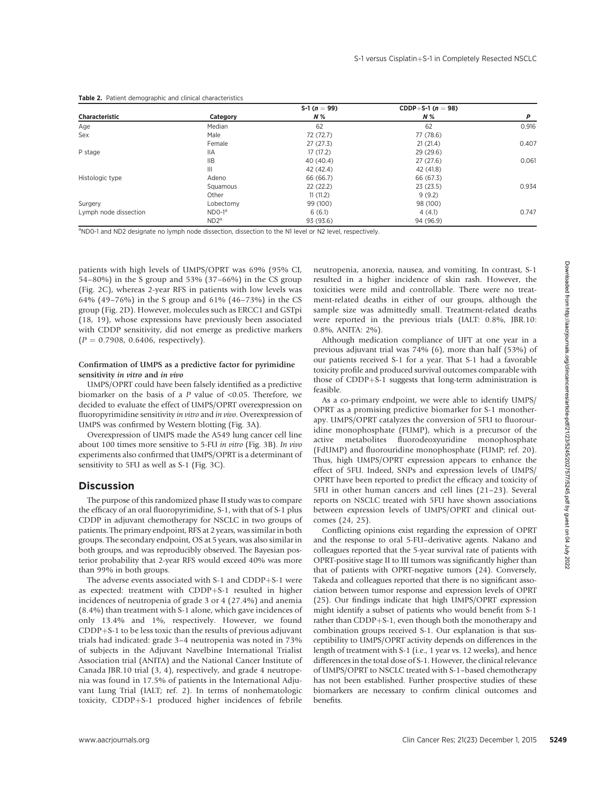| Table 2. Patient demographic and clinical characteristics |  |
|-----------------------------------------------------------|--|

|                       |            | S-1 ( $n = 99$ ) | CDDP+S-1 ( $n = 98$ ) |       |
|-----------------------|------------|------------------|-----------------------|-------|
| <b>Characteristic</b> | Category   | N %              | N %                   | P     |
| Age                   | Median     | 62               | 62                    | 0.916 |
| Sex                   | Male       | 72 (72.7)        | 77 (78.6)             |       |
|                       | Female     | 27(27.3)         | 21(21.4)              | 0.407 |
| P stage               | <b>IIA</b> | 17(17.2)         | 29(29.6)              |       |
|                       | <b>IIB</b> | 40 (40.4)        | 27(27.6)              | 0.061 |
|                       | Ш          | 42 (42.4)        | 42 (41.8)             |       |
| Histologic type       | Adeno      | 66 (66.7)        | 66 (67.3)             |       |
|                       | Squamous   | 22(22.2)         | 23(23.5)              | 0.934 |
|                       | Other      | 11(11.2)         | 9(9.2)                |       |
| Surgery               | Lobectomy  | 99 (100)         | 98 (100)              |       |
| Lymph node dissection | $NDO-1a$   | 6(6.1)           | 4(4.1)                | 0.747 |
|                       | $ND2^a$    | 93 (93.6)        | 94 (96.9)             |       |

aND0-1 and ND2 designate no lymph node dissection, dissection to the N1 level or N2 level, respectively.

patients with high levels of UMPS/OPRT was 69% (95% CI, 54–80%) in the S group and 53% (37–66%) in the CS group (Fig. 2C), whereas 2-year RFS in patients with low levels was 64% (49–76%) in the S group and 61% (46–73%) in the CS group (Fig. 2D). However, molecules such as ERCC1 and GSTpi (18, 19), whose expressions have previously been associated with CDDP sensitivity, did not emerge as predictive markers  $(P = 0.7908, 0.6406, respectively).$ 

#### Confirmation of UMPS as a predictive factor for pyrimidine sensitivity in vitro and in vivo

UMPS/OPRT could have been falsely identified as a predictive biomarker on the basis of a P value of <0.05. Therefore, we decided to evaluate the effect of UMPS/OPRT overexpression on fluoropyrimidine sensitivity in vitro and in vivo. Overexpression of UMPS was confirmed by Western blotting (Fig. 3A).

Overexpression of UMPS made the A549 lung cancer cell line about 100 times more sensitive to 5-FU in vitro (Fig. 3B). In vivo experiments also confirmed that UMPS/OPRT is a determinant of sensitivity to 5FU as well as S-1 (Fig. 3C).

### Discussion

The purpose of this randomized phase II study was to compare the efficacy of an oral fluoropyrimidine, S-1, with that of S-1 plus CDDP in adjuvant chemotherapy for NSCLC in two groups of patients. The primary endpoint, RFS at 2 years, was similar in both groups. The secondary endpoint, OS at 5 years, was also similar in both groups, and was reproducibly observed. The Bayesian posterior probability that 2-year RFS would exceed 40% was more than 99% in both groups.

The adverse events associated with  $S-1$  and  $CDDP+S-1$  were as expected: treatment with CDDP+S-1 resulted in higher incidences of neutropenia of grade 3 or 4 (27.4%) and anemia (8.4%) than treatment with S-1 alone, which gave incidences of only 13.4% and 1%, respectively. However, we found  $CDDP + S-1$  to be less toxic than the results of previous adjuvant trials had indicated: grade 3–4 neutropenia was noted in 73% of subjects in the Adjuvant Navelbine International Trialist Association trial (ANITA) and the National Cancer Institute of Canada JBR.10 trial (3, 4), respectively, and grade 4 neutropenia was found in 17.5% of patients in the International Adjuvant Lung Trial (IALT; ref. 2). In terms of nonhematologic toxicity, CDDP+S-1 produced higher incidences of febrile neutropenia, anorexia, nausea, and vomiting. In contrast, S-1 resulted in a higher incidence of skin rash. However, the toxicities were mild and controllable. There were no treatment-related deaths in either of our groups, although the sample size was admittedly small. Treatment-related deaths were reported in the previous trials (IALT: 0.8%, JBR.10: 0.8%, ANITA: 2%).

Although medication compliance of UFT at one year in a previous adjuvant trial was 74% (6), more than half (53%) of our patients received S-1 for a year. That S-1 had a favorable toxicity profile and produced survival outcomes comparable with those of CDDP+S-1 suggests that long-term administration is feasible.

As a co-primary endpoint, we were able to identify UMPS/ OPRT as a promising predictive biomarker for S-1 monotherapy. UMPS/OPRT catalyzes the conversion of 5FU to fluorouridine monophosphate (FUMP), which is a precursor of the active metabolites fluorodeoxyuridine monophosphate (FdUMP) and fluorouridine monophosphate (FUMP; ref. 20). Thus, high UMPS/OPRT expression appears to enhance the effect of 5FU. Indeed, SNPs and expression levels of UMPS/ OPRT have been reported to predict the efficacy and toxicity of 5FU in other human cancers and cell lines (21–23). Several reports on NSCLC treated with 5FU have shown associations between expression levels of UMPS/OPRT and clinical outcomes (24, 25).

Conflicting opinions exist regarding the expression of OPRT and the response to oral 5-FU–derivative agents. Nakano and colleagues reported that the 5-year survival rate of patients with OPRT-positive stage II to III tumors was significantly higher than that of patients with OPRT-negative tumors (24). Conversely, Takeda and colleagues reported that there is no significant association between tumor response and expression levels of OPRT (25). Our findings indicate that high UMPS/OPRT expression might identify a subset of patients who would benefit from S-1 rather than CDDP+S-1, even though both the monotherapy and combination groups received S-1. Our explanation is that susceptibility to UMPS/OPRT activity depends on differences in the length of treatment with S-1 (i.e., 1 year vs. 12 weeks), and hence differences in the total dose of S-1. However, the clinical relevance of UMPS/OPRT to NSCLC treated with S-1–based chemotherapy has not been established. Further prospective studies of these biomarkers are necessary to confirm clinical outcomes and benefits. paints with high levels of 104878/0078 is determined from haven, and working a controlline in controlline in the state of the state of the state of the broad and controlline in the state of the state of the location of th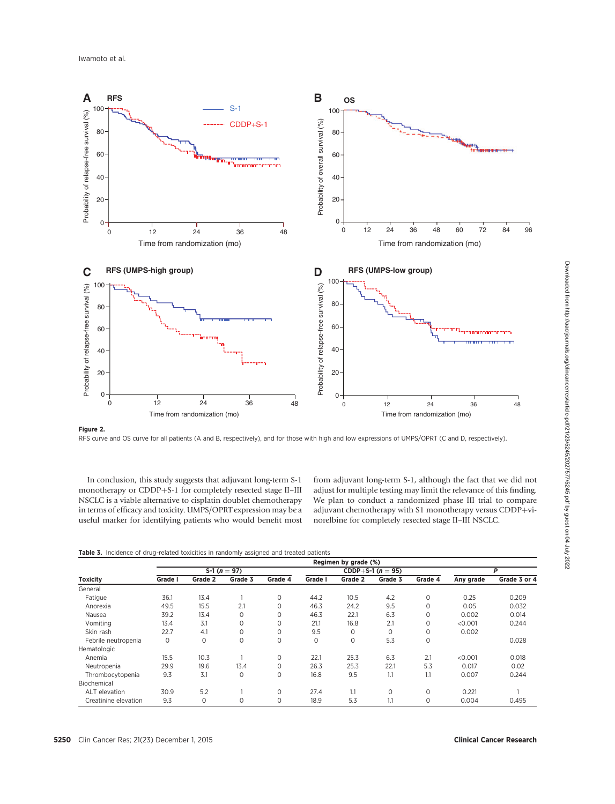

RFS curve and OS curve for all patients (A and B, respectively), and for those with high and low expressions of UMPS/OPRT (C and D, respectively).

In conclusion, this study suggests that adjuvant long-term S-1 monotherapy or CDDP+S-1 for completely resected stage II–III NSCLC is a viable alternative to cisplatin doublet chemotherapy in terms of efficacy and toxicity. UMPS/OPRT expression may be a useful marker for identifying patients who would benefit most from adjuvant long-term S-1, although the fact that we did not adjust for multiple testing may limit the relevance of this finding. We plan to conduct a randomized phase III trial to compare adjuvant chemotherapy with S1 monotherapy versus CDDP+vinorelbine for completely resected stage II–III NSCLC.

|                      | Regimen by grade (%) |         |          |          |                     |             |          |          |           |              |
|----------------------|----------------------|---------|----------|----------|---------------------|-------------|----------|----------|-----------|--------------|
|                      | S-1 ( $n = 97$ )     |         |          |          | CDDP+S-1 $(n = 95)$ |             |          | P        |           |              |
| <b>Toxicity</b>      | Grade I              | Grade 2 | Grade 3  | Grade 4  | Grade I             | Grade 2     | Grade 3  | Grade 4  | Any grade | Grade 3 or 4 |
| General              |                      |         |          |          |                     |             |          |          |           |              |
| Fatigue              | 36.1                 | 13.4    |          | 0        | 44.2                | 10.5        | 4.2      | 0        | 0.25      | 0.209        |
| Anorexia             | 49.5                 | 15.5    | 2.1      | 0        | 46.3                | 24.2        | 9.5      | 0        | 0.05      | 0.032        |
| Nausea               | 39.2                 | 13.4    | $\Omega$ | 0        | 46.3                | 22.1        | 6.3      | $\Omega$ | 0.002     | 0.014        |
| Vomiting             | 13.4                 | 3.1     | $\circ$  | 0        | 21.1                | 16.8        | 2.1      | 0        | < 0.001   | 0.244        |
| Skin rash            | 22.7                 | 4.1     | $\Omega$ | $\Omega$ | 9.5                 | $\Omega$    | $\Omega$ | $\Omega$ | 0.002     |              |
| Febrile neutropenia  | $\circ$              | 0       | 0        | 0        | 0                   | $\mathbf 0$ | 5.3      | 0        |           | 0.028        |
| Hematologic          |                      |         |          |          |                     |             |          |          |           |              |
| Anemia               | 15.5                 | 10.3    |          | 0        | 22.1                | 25.3        | 6.3      | 2.1      | < 0.001   | 0.018        |
| Neutropenia          | 29.9                 | 19.6    | 13.4     | $\Omega$ | 26.3                | 25.3        | 22.1     | 5.3      | 0.017     | 0.02         |
| Thrombocytopenia     | 9.3                  | 3.1     | $\Omega$ | 0        | 16.8                | 9.5         | 1.1      | 1.1      | 0.007     | 0.244        |
| Biochemical          |                      |         |          |          |                     |             |          |          |           |              |
| ALT elevation        | 30.9                 | 5.2     |          | $\Omega$ | 27.4                | 1.1         | 0        | $\Omega$ | 0.221     |              |
| Creatinine elevation | 9.3                  | 0       | 0        | 0        | 18.9                | 5.3         | 1.1      | 0        | 0.004     | 0.495        |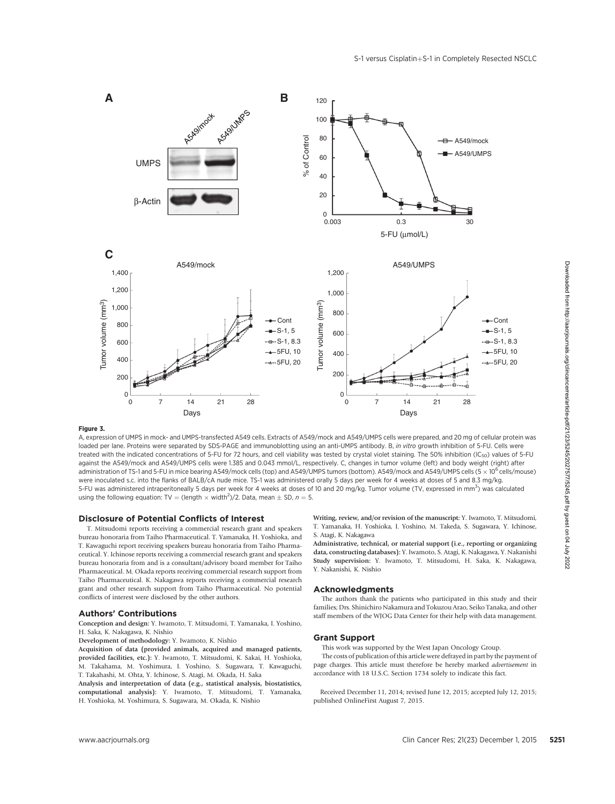

## Figure 3.

A, expression of UMPS in mock- and UMPS-transfected A549 cells. Extracts of A549/mock and A549/UMPS cells were prepared, and 20 mg of cellular protein was loaded per lane. Proteins were separated by SDS-PAGE and immunoblotting using an anti-UMPS antibody. B, in vitro growth inhibition of 5-FU. Cells were treated with the indicated concentrations of 5-FU for 72 hours, and cell viability was tested by crystal violet staining. The 50% inhibition (IC50) values of 5-FU against the A549/mock and A549/UMPS cells were 1.385 and 0.043 mmol/L, respectively. C, changes in tumor volume (left) and body weight (right) after administration of TS-1 and 5-FU in mice bearing A549/mock cells (top) and A549/UMPS tumors (bottom). A549/mock and A549/UMPS cells (5 x 10<sup>6</sup> cells/mouse) were inoculated s.c. into the flanks of BALB/cA nude mice. TS-1 was administered orally 5 days per week for 4 weeks at doses of 5 and 8.3 mg/kg. 5-FU was administered intraperitoneally 5 days per week for 4 weeks at doses of 10 and 20 mg/kg. Tumor volume (TV, expressed in mm<sup>3</sup>) was calculated using the following equation: TV = (length  $\times$  width<sup>2</sup>)/2. Data, mean  $\pm$  SD,  $n=5$ .

#### Disclosure of Potential Conflicts of Interest

T. Mitsudomi reports receiving a commercial research grant and speakers bureau honoraria from Taiho Pharmaceutical. T. Yamanaka, H. Yoshioka, and T. Kawaguchi report receiving speakers bureau honoraria from Taiho Pharmaceutical. Y. Ichinose reports receiving a commercial research grant and speakers bureau honoraria from and is a consultant/advisory board member for Taiho Pharmaceutical. M. Okada reports receiving commercial research support from Taiho Pharmaceutical. K. Nakagawa reports receiving a commercial research grant and other research support from Taiho Pharmaceutical. No potential conflicts of interest were disclosed by the other authors.

#### Authors' Contributions

#### Conception and design: Y. Iwamoto, T. Mitsudomi, T. Yamanaka, I. Yoshino, H. Saka, K. Nakagawa, K. Nishio

Development of methodology: Y. Iwamoto, K. Nishio

Acquisition of data (provided animals, acquired and managed patients, provided facilities, etc.): Y. Iwamoto, T. Mitsudomi, K. Sakai, H. Yoshioka, M. Takahama, M. Yoshimura, I. Yoshino, S. Sugawara, T. Kawaguchi, T. Takahashi, M. Ohta, Y. Ichinose, S. Atagi, M. Okada, H. Saka

Analysis and interpretation of data (e.g., statistical analysis, biostatistics, computational analysis): Y. Iwamoto, T. Mitsudomi, T. Yamanaka, H. Yoshioka, M. Yoshimura, S. Sugawara, M. Okada, K. Nishio

Writing, review, and/or revision of the manuscript: Y. Iwamoto, T. Mitsudomi, T. Yamanaka, H. Yoshioka, I. Yoshino, M. Takeda, S. Sugawara, Y. Ichinose, S. Atagi, K. Nakagawa

Administrative, technical, or material support (i.e., reporting or organizing data, constructing databases): Y. Iwamoto, S. Atagi, K. Nakagawa, Y. Nakanishi Study supervision: Y. Iwamoto, T. Mitsudomi, H. Saka, K. Nakagawa, Y. Nakanishi, K. Nishio

#### Acknowledgments

The authors thank the patients who participated in this study and their families; Drs. Shinichiro Nakamura and Tokuzou Arao, Seiko Tanaka, and other staff members of the WJOG Data Center for their help with data management.

#### Grant Support

This work was supported by the West Japan Oncology Group. The costs of publication of this article were defrayed in part by the payment of

page charges. This article must therefore be hereby marked advertisement in accordance with 18 U.S.C. Section 1734 solely to indicate this fact.

Received December 11, 2014; revised June 12, 2015; accepted July 12, 2015; published OnlineFirst August 7, 2015.